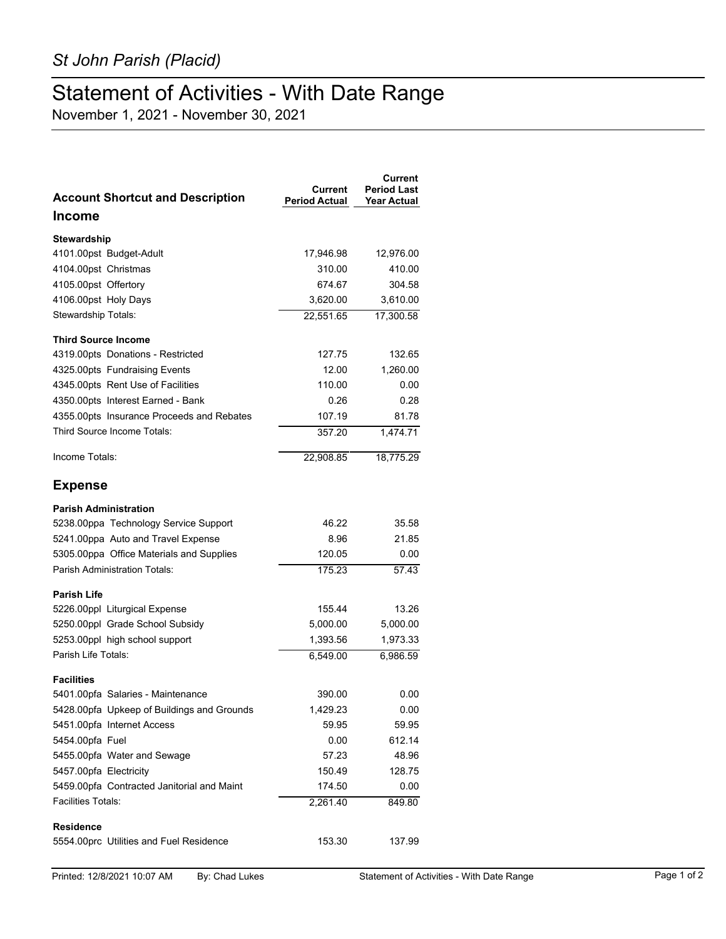## Statement of Activities - With Date Range

November 1, 2021 - November 30, 2021

| <b>Account Shortcut and Description</b>    | Current<br><b>Period Actual</b> | Current<br><b>Period Last</b><br><b>Year Actual</b> |
|--------------------------------------------|---------------------------------|-----------------------------------------------------|
| Income                                     |                                 |                                                     |
| Stewardship                                |                                 |                                                     |
| 4101.00pst Budget-Adult                    | 17,946.98                       | 12,976.00                                           |
| 4104.00pst Christmas                       | 310.00                          | 410.00                                              |
| 4105.00pst Offertory                       | 674.67                          | 304.58                                              |
| 4106.00pst Holy Days                       | 3,620.00                        | 3,610.00                                            |
| Stewardship Totals:                        | 22,551.65                       | 17,300.58                                           |
| <b>Third Source Income</b>                 |                                 |                                                     |
| 4319.00pts Donations - Restricted          | 127.75                          | 132.65                                              |
| 4325.00pts Fundraising Events              | 12.00                           | 1,260.00                                            |
| 4345.00pts Rent Use of Facilities          | 110.00                          | 0.00                                                |
| 4350.00pts Interest Earned - Bank          | 0.26                            | 0.28                                                |
| 4355.00pts Insurance Proceeds and Rebates  | 107.19                          | 81.78                                               |
| Third Source Income Totals:                | 357.20                          | 1.474.71                                            |
| Income Totals:                             | 22,908.85                       | 18,775.29                                           |
| <b>Expense</b>                             |                                 |                                                     |
| <b>Parish Administration</b>               |                                 |                                                     |
| 5238.00ppa Technology Service Support      | 46.22                           | 35.58                                               |
| 5241.00ppa Auto and Travel Expense         | 8.96                            | 21.85                                               |
| 5305.00ppa Office Materials and Supplies   | 120.05                          | 0.00                                                |
| <b>Parish Administration Totals:</b>       | 175.23                          | $\sqrt{57.43}$                                      |
| <b>Parish Life</b>                         |                                 |                                                     |
| 5226.00ppl Liturgical Expense              | 155.44                          | 13.26                                               |
| 5250.00ppl Grade School Subsidy            | 5,000.00                        | 5,000.00                                            |
| 5253.00ppl high school support             | 1,393.56                        | 1,973.33                                            |
| Parish Life Totals:                        | 6,549.00                        | 6,986.59                                            |
| <b>Facilities</b>                          |                                 |                                                     |
| 5401.00pfa Salaries - Maintenance          | 390.00                          | 0.00                                                |
| 5428.00pfa Upkeep of Buildings and Grounds | 1,429.23                        | 0.00                                                |
| 5451.00pfa Internet Access                 | 59.95                           | 59.95                                               |
| 5454.00pfa Fuel                            | 0.00                            | 612.14                                              |
| 5455.00pfa Water and Sewage                | 57.23                           | 48.96                                               |
| 5457.00pfa Electricity                     | 150.49                          | 128.75                                              |
| 5459.00pfa Contracted Janitorial and Maint | 174.50                          | 0.00                                                |
| <b>Facilities Totals:</b>                  | 2,261.40                        | 849.80                                              |
| <b>Residence</b>                           |                                 |                                                     |
| 5554.00prc Utilities and Fuel Residence    | 153.30                          | 137.99                                              |